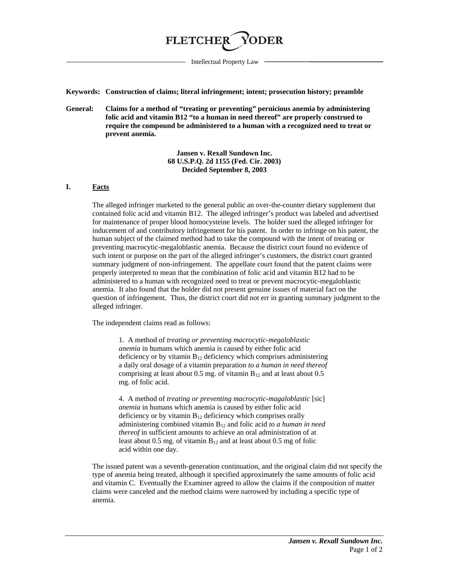

Intellectual Property Law

**Keywords: Construction of claims; literal infringement; intent; prosecution history; preamble**

**General: Claims for a method of "treating or preventing" pernicious anemia by administering folic acid and vitamin B12 "to a human in need thereof" are properly construed to require the compound be administered to a human with a recognized need to treat or prevent anemia.**

> **Jansen v. Rexall Sundown Inc. 68 U.S.P.Q. 2d 1155 (Fed. Cir. 2003) Decided September 8, 2003**

## **I. Facts**

The alleged infringer marketed to the general public an over-the-counter dietary supplement that contained folic acid and vitamin B12. The alleged infringer's product was labeled and advertised for maintenance of proper blood homocysteine levels. The holder sued the alleged infringer for inducement of and contributory infringement for his patent. In order to infringe on his patent, the human subject of the claimed method had to take the compound with the intent of treating or preventing macrocytic-megaloblastic anemia. Because the district court found no evidence of such intent or purpose on the part of the alleged infringer's customers, the district court granted summary judgment of non-infringement. The appellate court found that the patent claims were properly interpreted to mean that the combination of folic acid and vitamin B12 had to be administered to a human with recognized need to treat or prevent macrocytic-megaloblastic anemia. It also found that the holder did not present genuine issues of material fact on the question of infringement. Thus, the district court did not err in granting summary judgment to the alleged infringer.

The independent claims read as follows:

1. A method of *treating or preventing macrocytic-megaloblastic anemia* in humans which anemia is caused by either folic acid deficiency or by vitamin  $B_{12}$  deficiency which comprises administering a daily oral dosage of a vitamin preparation *to a human in need thereof* comprising at least about 0.5 mg. of vitamin  $B_{12}$  and at least about 0.5 mg. of folic acid.

4. A method of *treating or preventing macrocytic-magaloblastic* [sic] *anemia* in humans which anemia is caused by either folic acid deficiency or by vitamin  $B_{12}$  deficiency which comprises orally administering combined vitamin B12 and folic acid *to a human in need thereof* in sufficient amounts to achieve an oral administration of at least about 0.5 mg. of vitamin  $B_{12}$  and at least about 0.5 mg of folic acid within one day.

The issued patent was a seventh-generation continuation, and the original claim did not specify the type of anemia being treated, although it specified approximately the same amounts of folic acid and vitamin C. Eventually the Examiner agreed to allow the claims if the composition of matter claims were canceled and the method claims were narrowed by including a specific type of anemia.